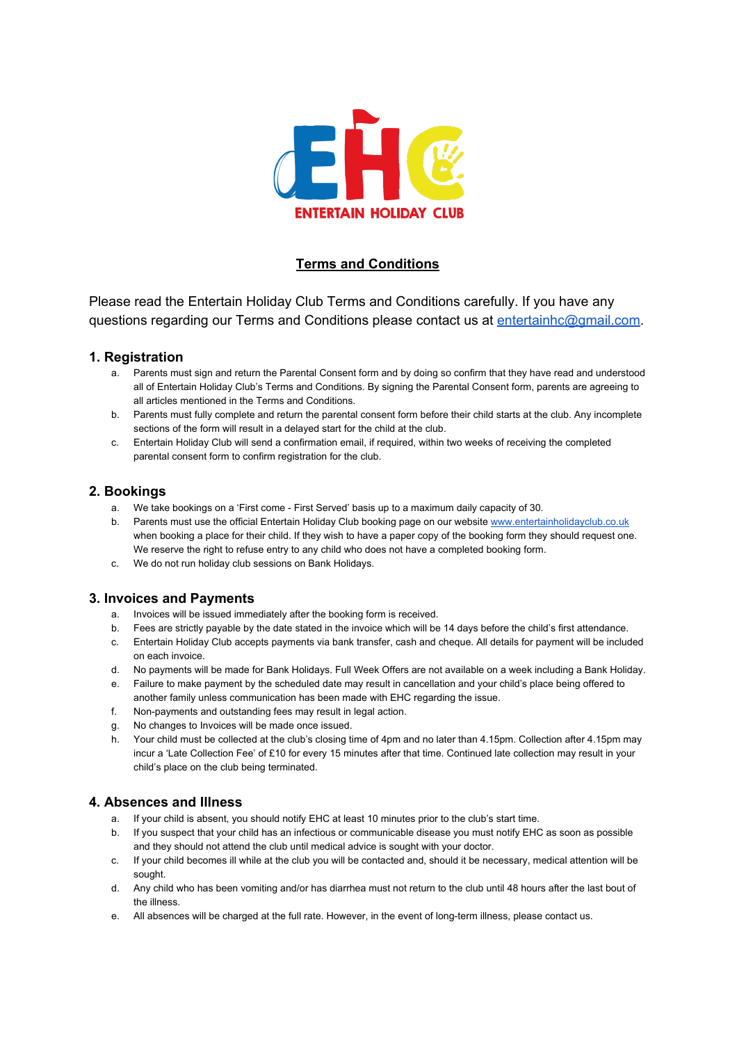

# **Terms and Conditions**

Please read the Entertain Holiday Club Terms and Conditions carefully. If you have any questions regarding our Terms and Conditions please contact us at [entertainhc@gmail.com.](mailto:entertainhc@gmail.com)

#### **1. Registration**

- a. Parents must sign and return the Parental Consent form and by doing so confirm that they have read and understood all of Entertain Holiday Club's Terms and Conditions. By signing the Parental Consent form, parents are agreeing to all articles mentioned in the Terms and Conditions.
- b. Parents must fully complete and return the parental consent form before their child starts at the club. Any incomplete sections of the form will result in a delayed start for the child at the club.
- c. Entertain Holiday Club will send a confirmation email, if required, within two weeks of receiving the completed parental consent form to confirm registration for the club.

## **2. Bookings**

- a. We take bookings on a 'First come First Served' basis up to a maximum daily capacity of 30.
- b. Parents must use the official Entertain Holiday Club booking page on our website [www.entertainholidayclub.co.uk](http://www.entertainholidayclub.co.uk/) when booking a place for their child. If they wish to have a paper copy of the booking form they should request one. We reserve the right to refuse entry to any child who does not have a completed booking form.
- c. We do not run holiday club sessions on Bank Holidays.

# **3. Invoices and Payments**

- a. Invoices will be issued immediately after the booking form is received.
- b. Fees are strictly payable by the date stated in the invoice which will be 14 days before the child's first attendance.
- c. Entertain Holiday Club accepts payments via bank transfer, cash and cheque. All details for payment will be included on each invoice.
- d. No payments will be made for Bank Holidays. Full Week Offers are not available on a week including a Bank Holiday.
- e. Failure to make payment by the scheduled date may result in cancellation and your child's place being offered to another family unless communication has been made with EHC regarding the issue.
- f. Non-payments and outstanding fees may result in legal action.
- g. No changes to Invoices will be made once issued.
- h. Your child must be collected at the club's closing time of 4pm and no later than 4.15pm. Collection after 4.15pm may incur a 'Late Collection Fee' of £10 for every 15 minutes after that time. Continued late collection may result in your child's place on the club being terminated.

#### **4. Absences and Illness**

- a. If your child is absent, you should notify EHC at least 10 minutes prior to the club's start time.
- b. If you suspect that your child has an infectious or communicable disease you must notify EHC as soon as possible and they should not attend the club until medical advice is sought with your doctor.
- c. If your child becomes ill while at the club you will be contacted and, should it be necessary, medical attention will be sought.
- d. Any child who has been vomiting and/or has diarrhea must not return to the club until 48 hours after the last bout of the illness.
- e. All absences will be charged at the full rate. However, in the event of long-term illness, please contact us.